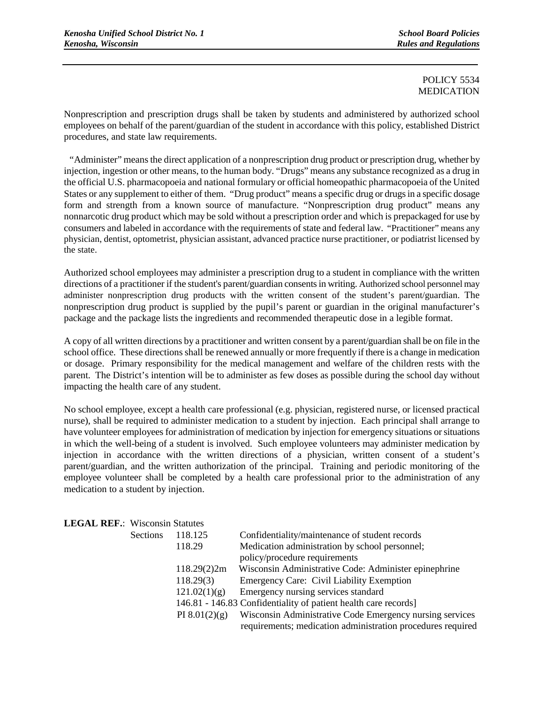## POLICY 5534 MEDICATION

Nonprescription and prescription drugs shall be taken by students and administered by authorized school employees on behalf of the parent/guardian of the student in accordance with this policy, established District procedures, and state law requirements.

"Administer" means the direct application of a nonprescription drug product or prescription drug, whether by injection, ingestion or other means, to the human body. "Drugs" means any substance recognized as a drug in the official U.S. pharmacopoeia and national formulary or official homeopathic pharmacopoeia of the United States or any supplement to either of them. "Drug product" means a specific drug or drugs in a specific dosage form and strength from a known source of manufacture. "Nonprescription drug product" means any nonnarcotic drug product which may be sold without a prescription order and which is prepackaged for use by consumers and labeled in accordance with the requirements of state and federal law. "Practitioner" means any physician, dentist, optometrist, physician assistant, advanced practice nurse practitioner, or podiatrist licensed by the state.

Authorized school employees may administer a prescription drug to a student in compliance with the written directions of a practitioner if the student's parent/guardian consents in writing. Authorized school personnel may administer nonprescription drug products with the written consent of the student's parent/guardian. The nonprescription drug product is supplied by the pupil's parent or guardian in the original manufacturer's package and the package lists the ingredients and recommended therapeutic dose in a legible format.

A copy of all written directions by a practitioner and written consent by a parent/guardian shall be on file in the school office. These directions shall be renewed annually or more frequently if there is a change in medication or dosage. Primary responsibility for the medical management and welfare of the children rests with the parent. The District's intention will be to administer as few doses as possible during the school day without impacting the health care of any student.

No school employee, except a health care professional (e.g. physician, registered nurse, or licensed practical nurse), shall be required to administer medication to a student by injection. Each principal shall arrange to have volunteer employees for administration of medication by injection for emergency situations or situations in which the well-being of a student is involved. Such employee volunteers may administer medication by injection in accordance with the written directions of a physician, written consent of a student's parent/guardian, and the written authorization of the principal. Training and periodic monitoring of the employee volunteer shall be completed by a health care professional prior to the administration of any medication to a student by injection.

| ерар шт. проты наши |                 |                                                                 |
|---------------------|-----------------|-----------------------------------------------------------------|
| <b>Sections</b>     | 118.125         | Confidentiality/maintenance of student records                  |
|                     | 118.29          | Medication administration by school personnel;                  |
|                     |                 | policy/procedure requirements                                   |
|                     | 118.29(2)2m     | Wisconsin Administrative Code: Administer epinephrine           |
|                     | 118.29(3)       | <b>Emergency Care: Civil Liability Exemption</b>                |
|                     | 121.02(1)(g)    | Emergency nursing services standard                             |
|                     |                 | 146.81 - 146.83 Confidentiality of patient health care records] |
|                     | PI $8.01(2)(g)$ | Wisconsin Administrative Code Emergency nursing services        |
|                     |                 | requirements; medication administration procedures required     |
|                     |                 |                                                                 |

**LEGAL REF.**: Wisconsin Statutes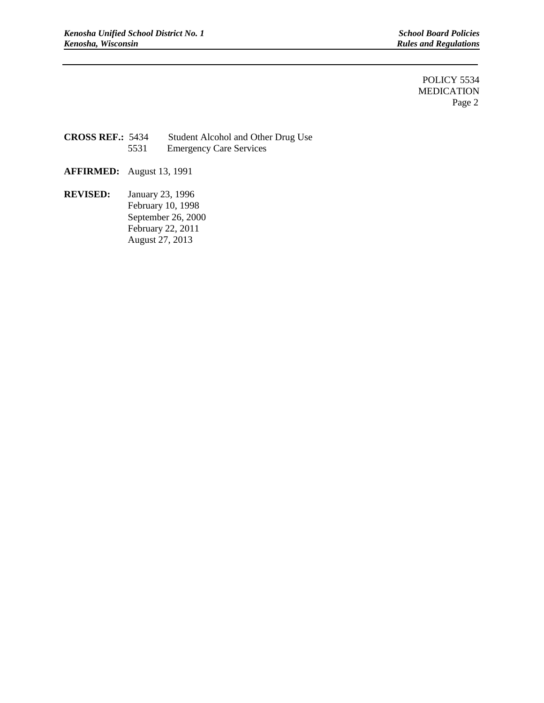**Rules and Regulations** 

POLICY 5534 MEDICATION Page 2

**CROSS REF.:** 5434 Student Alcohol and Other Drug Use 5531 Emergency Care Services

- **AFFIRMED:** August 13, 1991
- **REVISED:** January 23, 1996 February 10, 1998 September 26, 2000 February 22, 2011 August 27, 2013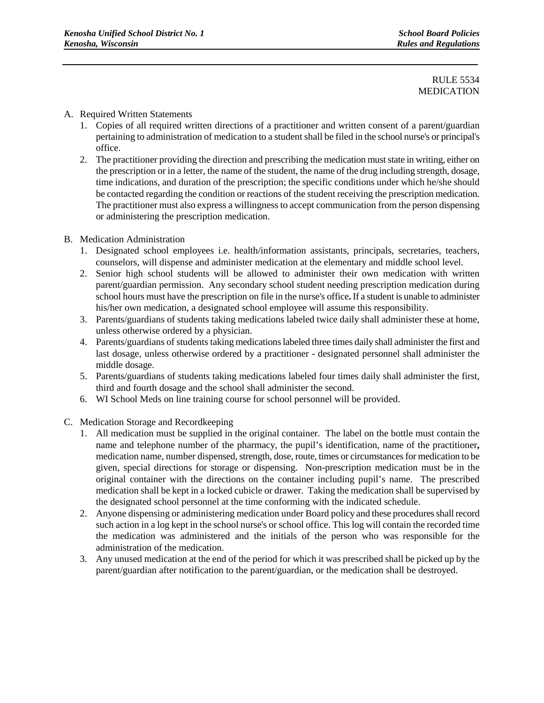## RULE 5534 MEDICATION

## A. Required Written Statements

- 1. Copies of all required written directions of a practitioner and written consent of a parent/guardian pertaining to administration of medication to a student shall be filed in the school nurse's or principal's office.
- 2. The practitioner providing the direction and prescribing the medication must state in writing, either on the prescription or in a letter, the name of the student, the name of the drug including strength, dosage, time indications, and duration of the prescription; the specific conditions under which he/she should be contacted regarding the condition or reactions of the student receiving the prescription medication. The practitioner must also express a willingness to accept communication from the person dispensing or administering the prescription medication.
- B. Medication Administration
	- 1. Designated school employees i.e. health/information assistants, principals, secretaries, teachers, counselors, will dispense and administer medication at the elementary and middle school level.
	- 2. Senior high school students will be allowed to administer their own medication with written parent/guardian permission. Any secondary school student needing prescription medication during school hours must have the prescription on file in the nurse's office**.** If a student is unable to administer his/her own medication, a designated school employee will assume this responsibility.
	- 3. Parents/guardians of students taking medications labeled twice daily shall administer these at home, unless otherwise ordered by a physician.
	- 4. Parents/guardians of students taking medications labeled three times daily shall administer the first and last dosage, unless otherwise ordered by a practitioner - designated personnel shall administer the middle dosage.
	- 5. Parents/guardians of students taking medications labeled four times daily shall administer the first, third and fourth dosage and the school shall administer the second.
	- 6. WI School Meds on line training course for school personnel will be provided.
- C. Medication Storage and Recordkeeping
	- 1. All medication must be supplied in the original container. The label on the bottle must contain the name and telephone number of the pharmacy, the pupil's identification, name of the practitioner**,** medication name, number dispensed, strength, dose, route, times or circumstances for medication to be given, special directions for storage or dispensing. Non-prescription medication must be in the original container with the directions on the container including pupil's name. The prescribed medication shall be kept in a locked cubicle or drawer. Taking the medication shall be supervised by the designated school personnel at the time conforming with the indicated schedule.
	- 2. Anyone dispensing or administering medication under Board policy and these procedures shall record such action in a log kept in the school nurse's or school office. This log will contain the recorded time the medication was administered and the initials of the person who was responsible for the administration of the medication.
	- 3. Any unused medication at the end of the period for which it was prescribed shall be picked up by the parent/guardian after notification to the parent/guardian, or the medication shall be destroyed.